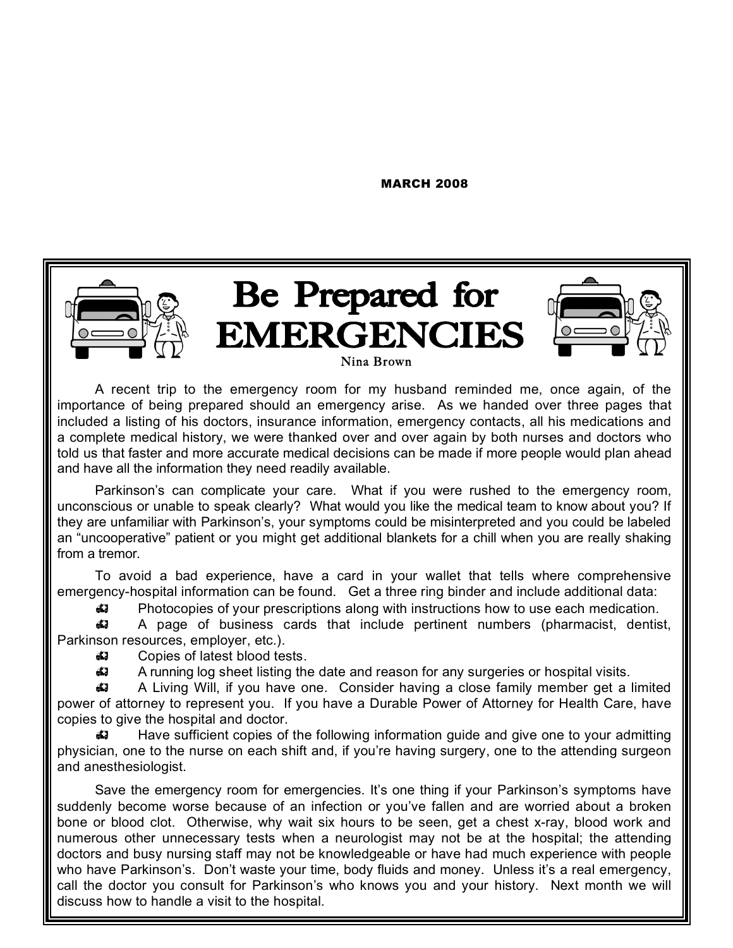MARCH 2008



A recent trip to the emergency room for my husband reminded me, once again, of the importance of being prepared should an emergency arise. As we handed over three pages that included a listing of his doctors, insurance information, emergency contacts, all his medications and a complete medical history, we were thanked over and over again by both nurses and doctors who told us that faster and more accurate medical decisions can be made if more people would plan ahead and have all the information they need readily available.

Parkinson's can complicate your care. What if you were rushed to the emergency room, unconscious or unable to speak clearly? What would you like the medical team to know about you? If they are unfamiliar with Parkinson's, your symptoms could be misinterpreted and you could be labeled an "uncooperative" patient or you might get additional blankets for a chill when you are really shaking from a tremor.

To avoid a bad experience, have a card in your wallet that tells where comprehensive emergency-hospital information can be found. Get a three ring binder and include additional data:

Photocopies of your prescriptions along with instructions how to use each medication.

 A page of business cards that include pertinent numbers (pharmacist, dentist, Parkinson resources, employer, etc.).

44 Copies of latest blood tests.

A running log sheet listing the date and reason for any surgeries or hospital visits.

 A Living Will, if you have one. Consider having a close family member get a limited power of attorney to represent you. If you have a Durable Power of Attorney for Health Care, have copies to give the hospital and doctor.

 Have sufficient copies of the following information guide and give one to your admitting physician, one to the nurse on each shift and, if you're having surgery, one to the attending surgeon and anesthesiologist.

Save the emergency room for emergencies. It's one thing if your Parkinson's symptoms have suddenly become worse because of an infection or you've fallen and are worried about a broken bone or blood clot. Otherwise, why wait six hours to be seen, get a chest x-ray, blood work and numerous other unnecessary tests when a neurologist may not be at the hospital; the attending doctors and busy nursing staff may not be knowledgeable or have had much experience with people who have Parkinson's. Don't waste your time, body fluids and money. Unless it's a real emergency, call the doctor you consult for Parkinson's who knows you and your history. Next month we will discuss how to handle a visit to the hospital.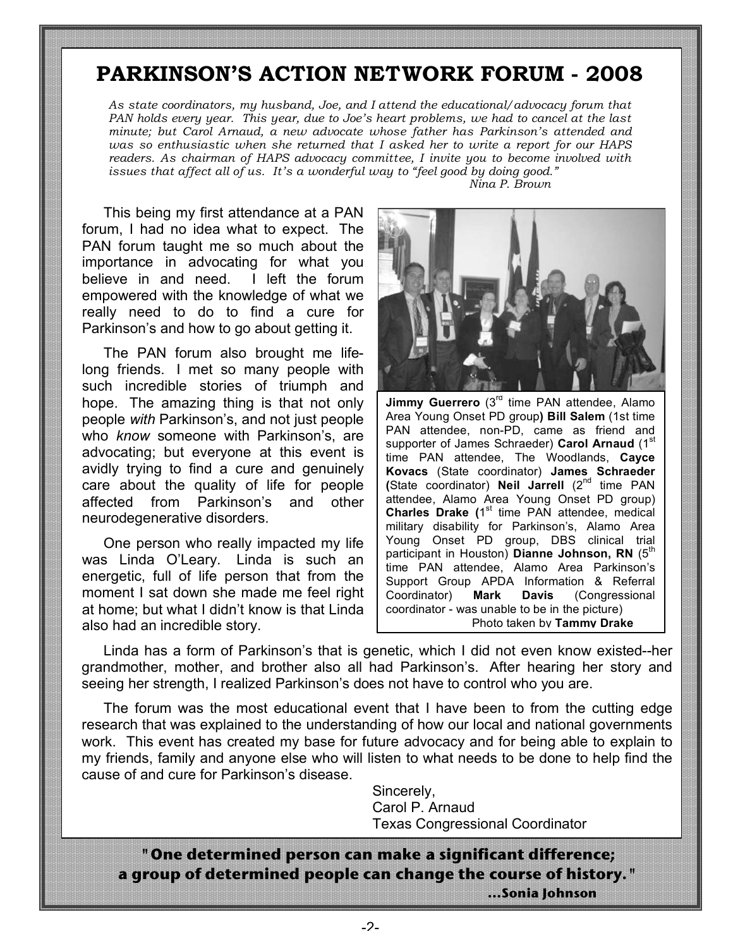## **PARKINSON'S ACTION NETWORK FORUM - 2008**

*As state coordinators, my husband, Joe, and I attend the educational/advocacy forum that PAN holds every year. This year, due to Joe's heart problems, we had to cancel at the last minute; but Carol Arnaud, a new advocate whose father has Parkinson's attended and was so enthusiastic when she returned that I asked her to write a report for our HAPS readers. As chairman of HAPS advocacy committee, I invite you to become involved with issues that affect all of us. It's a wonderful way to "feel good by doing good." Nina P. Brown*

This being my first attendance at a PAN forum, I had no idea what to expect. The PAN forum taught me so much about the importance in advocating for what you believe in and need. I left the forum empowered with the knowledge of what we really need to do to find a cure for Parkinson's and how to go about getting it.

The PAN forum also brought me lifelong friends. I met so many people with such incredible stories of triumph and hope. The amazing thing is that not only people *with* Parkinson's, and not just people who *know* someone with Parkinson's, are advocating; but everyone at this event is avidly trying to find a cure and genuinely care about the quality of life for people affected from Parkinson's and other neurodegenerative disorders.

One person who really impacted my life was Linda O'Leary. Linda is such an energetic, full of life person that from the moment I sat down she made me feel right at home; but what I didn't know is that Linda also had an incredible story.



**Jimmy Guerrero** (3<sup>rd</sup> time PAN attendee, Alamo Area Young Onset PD group**) Bill Salem** (1st time PAN attendee, non-PD, came as friend and supporter of James Schraeder) Carol Arnaud (1<sup>st</sup>) time PAN attendee, The Woodlands, **Cayce Kovacs** (State coordinator) **James Schraeder (**State coordinator) **Neil Jarrell** (2nd time PAN attendee, Alamo Area Young Onset PD group) **Charles Drake (1st time PAN attendee, medical** military disability for Parkinson's, Alamo Area Young Onset PD group, DBS clinical trial participant in Houston) **Dianne Johnson, RN** (5<sup>th</sup> time PAN attendee, Alamo Area Parkinson's Support Group APDA Information & Referral Coordinator) **Mark Davis** (Congressional coordinator - was unable to be in the picture) Photo taken by **Tammy Drake**

Linda has a form of Parkinson's that is genetic, which I did not even know existed--her grandmother, mother, and brother also all had Parkinson's. After hearing her story and seeing her strength, I realized Parkinson's does not have to control who you are.

The forum was the most educational event that I have been to from the cutting edge research that was explained to the understanding of how our local and national governments work. This event has created my base for future advocacy and for being able to explain to my friends, family and anyone else who will listen to what needs to be done to help find the cause of and cure for Parkinson's disease.

> Sincerely, Carol P. Arnaud Texas Congressional Coordinator

**"One determined person can make a significant difference; a group of determined people can change the course of history."**

 **…Sonia Johnson**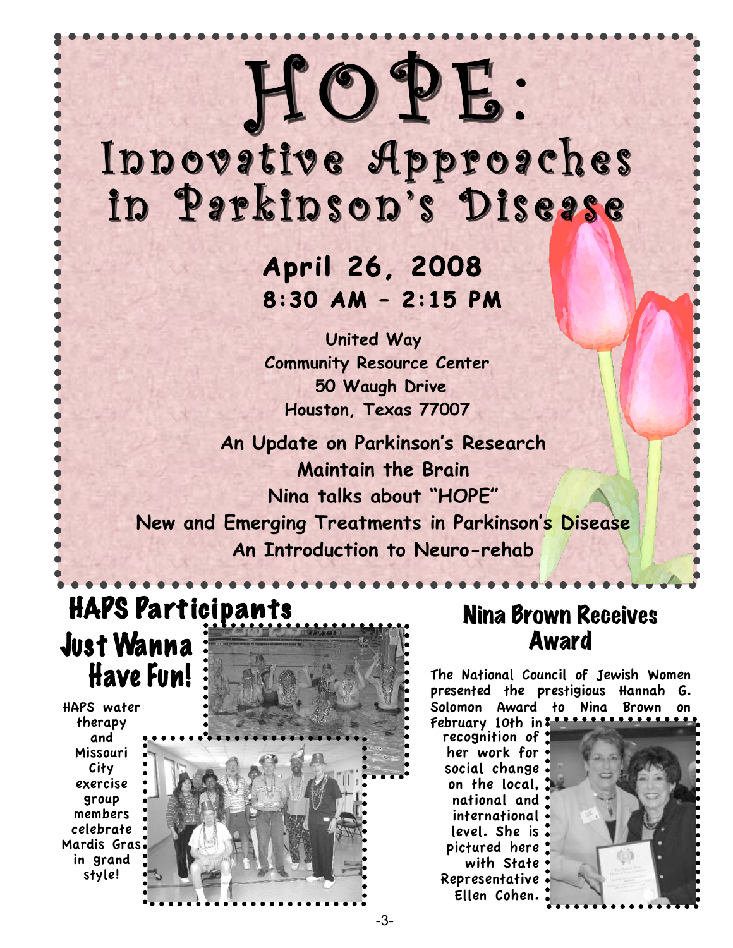# in Parkinson's Dise<mark>ase</mark> Innovative Approaches

HOPE:

 **April 26, 2008 8:30 AM – 2:15 PM** 

 **United Way Community Resource Center 50 Waugh Drive Houston, Texas 77007**

**An Update on Parkinson's Research Maintain the Brain Nina talks about "HOPE" New and Emerging Treatments in Parkinson's Disease An Introduction to Neuro-rehab**

## HAPS Participants **Just Wanna Have Fun!**

HAPS water therapy and Missouri City exercise group members celebrate Mardis Gras in grand style!



## Nina Brown Receives Award

The National Council of Jewish Women presented the prestigious Hannah G. Solomon Award to Nina Brown February 10th in

recognition of her work for social change on the local, national and international level. She is pictured here with State Representative Ellen Cohen.

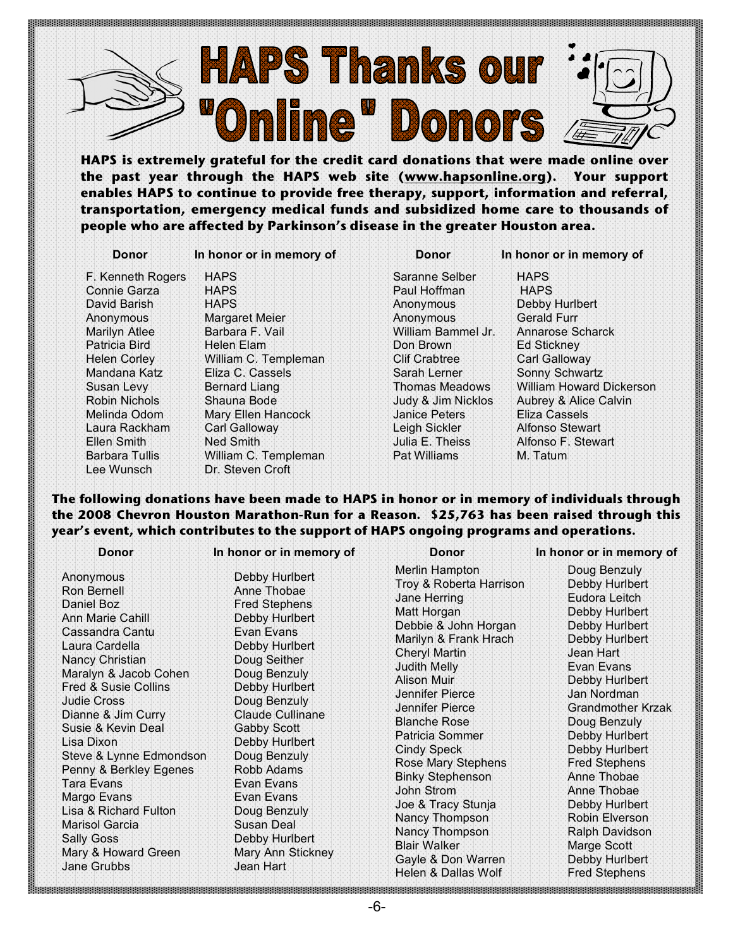

**HAPS is extremely grateful for the credit card donations that were made online over the past year through the HAPS web site (www.hapsonline.org). Your support enables HAPS to continue to provide free therapy, support, information and referral, transportation, emergency medical funds and subsidized home care to thousands of people who are affected by Parkinson's disease in the greater Houston area.** 

 **Donor In honor or in memory of Donor In honor or in memory of**

Lee Wunsch Dr. Steven Croft

F. Kenneth Rogers HAPS Saranne Selber HAPS<br>Connie Garza HAPS Raul Hoffman HAPS Connie Garza HAPS Paul Hoffman David Barish **HAPS HAPS** Anonymous Debby Hurlbert Anonymous Margaret Meier Anonymous Gerald Furr Marilyn Atlee Barbara F. Vail William Bammel Jr. Annarose Scharck Patricia Bird **Helen Elam Communist Communist Communist** Ed Stickney Helen Corley **William C. Templeman** Clif Crabtree Carl Galloway Mandana Katz Eliza C. Cassels Sarah Lerner Sonny Schwartz Robin Nichols Shauna Bode Judy & Jim Nicklos Aubrey & Alice Calvin Melinda Odom Mary Ellen Hancock Janice Peters Eliza Cassels Laura Rackham Carl Galloway Leigh Sickler Alfonso Stewart Ellen Smith Ned Smith Julia E. Theiss Alfonso F. Stewart Barbara Tullis Milliam C. Templeman Pat Williams M. Tatum

Susan Levy Bernard Liang Thomas Meadows William Howard Dickerson

### **The following donations have been made to HAPS in honor or in memory of individuals through the 2008 Chevron Houston Marathon-Run for a Reason. \$25,763 has been raised through this year's event, which contributes to the support of HAPS ongoing programs and operations.**

|                                                                                                                                                                                                                                    | Donor                                                                                                                                                                                           | In honor or in memory of                                                                                                                                                                                                                                                                                                                                                                 | Donor                                                                                                                                                                                                                                                                                                                                                                                                                                                                        | In honor or in memory of                                                                                                                                                                                                                                                                                                                                                                                        |
|------------------------------------------------------------------------------------------------------------------------------------------------------------------------------------------------------------------------------------|-------------------------------------------------------------------------------------------------------------------------------------------------------------------------------------------------|------------------------------------------------------------------------------------------------------------------------------------------------------------------------------------------------------------------------------------------------------------------------------------------------------------------------------------------------------------------------------------------|------------------------------------------------------------------------------------------------------------------------------------------------------------------------------------------------------------------------------------------------------------------------------------------------------------------------------------------------------------------------------------------------------------------------------------------------------------------------------|-----------------------------------------------------------------------------------------------------------------------------------------------------------------------------------------------------------------------------------------------------------------------------------------------------------------------------------------------------------------------------------------------------------------|
| Anonymous<br>Ron Bernell<br>Daniel Boz<br>Ann Marie Cahill<br>Cassandra Cantu<br>Laura Cardella<br>Nancy Christian<br><b>Judie Cross</b><br>Lisa Dixon<br>Tara Evans<br>Margo Evans<br>Marisol Garcia<br>Sally Goss<br>Jane Grubbs | Maralyn & Jacob Cohen<br>Fred & Susie Collins<br>Dianne & Jim Curry:<br>Susie & Kevin Deal<br>Steve & Lynne Edmondson<br>Penny & Berkley Egenes<br>Lisa & Richard Fulton<br>Mary & Howard Green | Debby Hurlbert<br>Anne Thobae<br><b>Fred Stephens</b><br>Debby Hurlbert<br>Evan Evans<br>Debby Hurlbert<br>Doug Seither<br>Doug Benzuly<br>Debby Hurlbert<br>Doug Benzuly<br><b>Claude Cullinane</b><br><b>Gabby Scott</b><br>Debby Hurlbert<br>Doug Benzuly<br>Robb Adams<br>Evan Evans<br>Evan Evans<br>Doug Benzuly<br>Susan Deal<br>Debby Hurlbert<br>Mary Ann Stickney<br>Jean Hart | Merlin Hampton<br>Troy & Roberta Harrison<br>Jane Herring<br>Matt Horgan<br>Debbie & John Horgan<br>Marilyn & Frank Hrach<br>Cheryl Martin<br>Judith Melly<br>Alison Muir<br>Jennifer Pierce<br>Jennifer Pierce<br><b>Blanche Rose</b><br>Patricia Sommer<br><b>Cindy Speck</b><br>Rose Mary Stephens<br><b>Binky Stephenson</b><br>John Strom<br>Joe & Tracy Stunja<br>Nancy Thompson<br>Nancy Thompson<br><b>Blair Walker</b><br>Gayle & Don Warren<br>Helen & Dallas Wolf | Doug Benzuly<br>Debby Hurlbert<br>Eudora Leitch<br>Debby Hurlbert<br>Debby Hurlbert<br>Debby Hurlbert<br>Jean Hart<br>Evan Evans<br>Debby Hurlbert<br>Jan Nordman<br>Grandmother Krzak<br>Doug Benzuly<br>Debby Hurlbert<br>Debby Hurlbert<br><b>Fred Stephens</b><br>Anne Thobae<br>Anne Thobae<br>Debby Hurlbert<br>Robin Elverson<br>Ralph Davidson<br>Marge Scott<br>Debby Hurlbert<br><b>Fred Stephens</b> |
|                                                                                                                                                                                                                                    |                                                                                                                                                                                                 |                                                                                                                                                                                                                                                                                                                                                                                          |                                                                                                                                                                                                                                                                                                                                                                                                                                                                              |                                                                                                                                                                                                                                                                                                                                                                                                                 |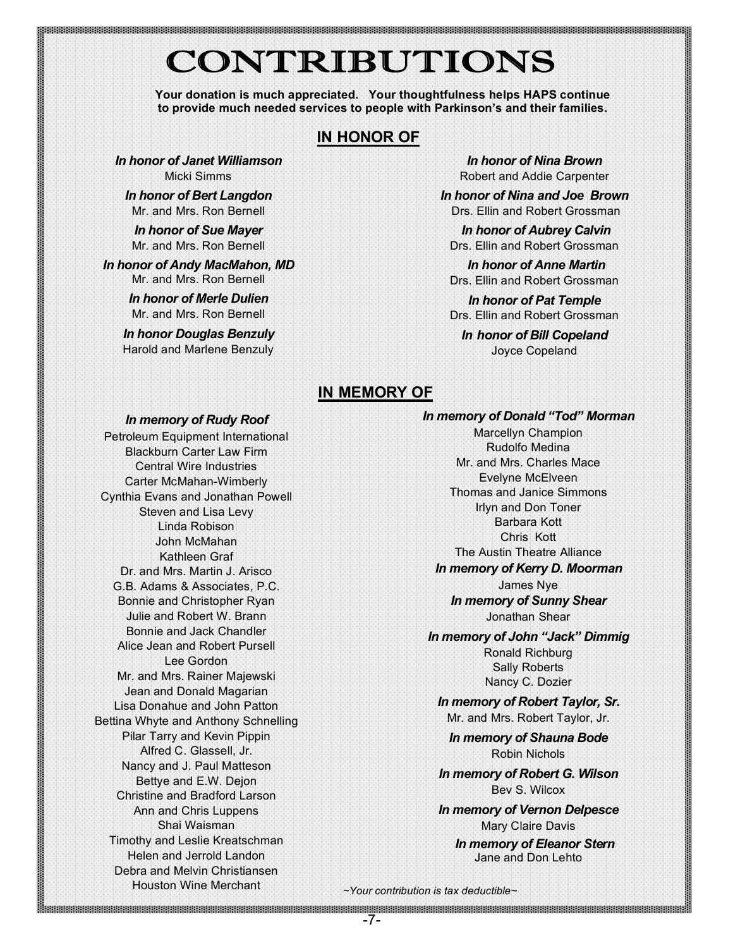## CONTRIBUTIONS

**Your donation is much appreciated. Your thoughtfulness helps HAPS continue to provide much needed services to people with Parkinson's and their families.**

## **IN HONOR OF**

*In honor of Janet Williamson* Micki Simms

*In honor of Bert Langdon* Mr. and Mrs. Ron Bernell

*In honor of Sue Mayer* Mr. and Mrs. Ron Bernell

*In honor of Andy MacMahon, MD* Mr. and Mrs. Ron Bernell

> *In honor of Merle Dulien* Mr. and Mrs. Ron Bernell

*In honor Douglas Benzuly* Harold and Marlene Benzuly

*In honor of Nina Brown* Robert and Addie Carpenter

*In honor of Nina and Joe Brown* Drs. Ellin and Robert Grossman

 *In honor of Aubrey Calvin* Drs. Ellin and Robert Grossman

 *In honor of Anne Martin* Drs. Ellin and Robert Grossman

*In honor of Pat Temple* Drs. Ellin and Robert Grossman

*In honor of Bill Copeland* Joyce Copeland

### **IN MEMORY OF**

#### *In memory of Rudy Roof*

Petroleum Equipment International Blackburn Carter Law Firm Central Wire Industries Carter McMahan-Wimberly Cynthia Evans and Jonathan Powell Steven and Lisa Levy Linda Robison John McMahan Kathleen Graf Dr. and Mrs. Martin J. Arisco G.B. Adams & Associates, P.C. Bonnie and Christopher Ryan Julie and Robert W. Brann Bonnie and Jack Chandler Alice Jean and Robert Pursell Lee Gordon Mr. and Mrs. Rainer Majewski Jean and Donald Magarian Lisa Donahue and John Patton Bettina Whyte and Anthony Schnelling Pilar Tarry and Kevin Pippin Alfred C. Glassell, Jr. Nancy and J. Paul Matteson Bettye and E.W. Dejon Christine and Bradford Larson Ann and Chris Luppens Shai Waisman Timothy and Leslie Kreatschman Helen and Jerrold Landon Debra and Melvin Christiansen Houston Wine Merchant

#### *In memory of Donald "Tod" Morman*

Marcellyn Champion Rudolfo Medina Mr. and Mrs. Charles Mace Evelyne McElveen Thomas and Janice Simmons Irlyn and Don Toner Barbara Kott Chris Kott The Austin Theatre Alliance *In memory of Kerry D. Moorman* James Nye *In memory of Sunny Shear* Jonathan Shear

*In memory of John "Jack" Dimmig* Ronald Richburg Sally Roberts Nancy C. Dozier

*In memory of Robert Taylor, Sr.* Mr. and Mrs. Robert Taylor, Jr.

*In memory of Shauna Bode* Robin Nichols

*In memory of Robert G. Wilson* Bev S. Wilcox

*In memory of Vernon Delpesce* Mary Claire Davis

*In memory of Eleanor Stern* Jane and Don Lehto

*~Your contribution is tax deductible~*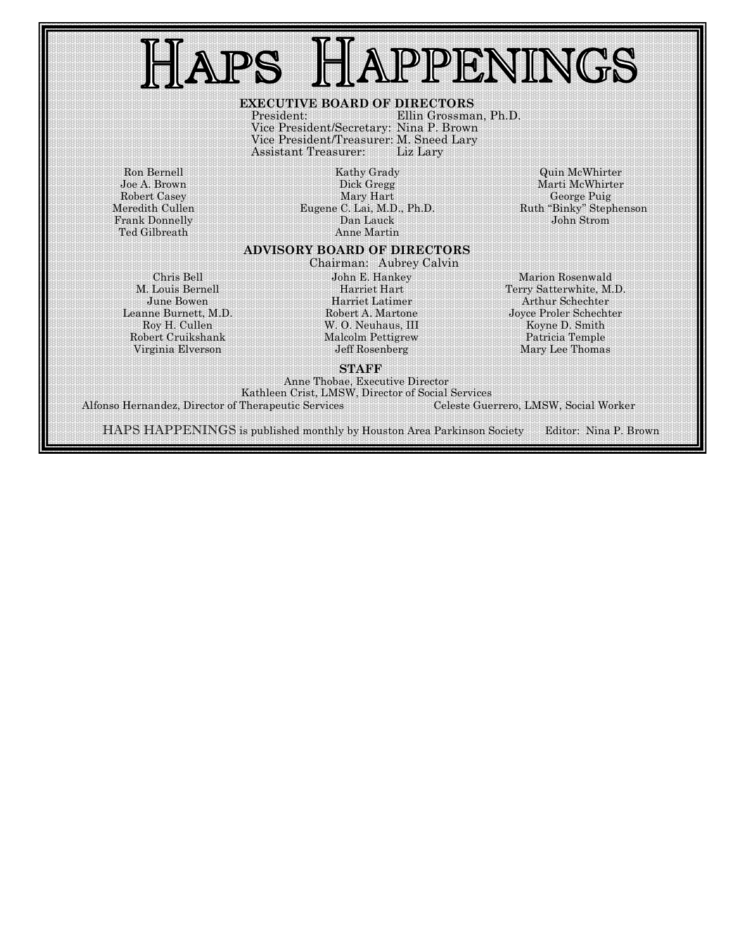## APPENINGS APS

#### **EXECUTIVE BOARD OF DIRECTORS**

President: Ellin Grossman, Ph.D. Vice President/Secretary: Nina P. Brown Vice President/Treasurer: M. Sneed Lary Assistant Treasurer: Liz Lary

Ron Bernell Joe A. Brown Robert Casey Meredith Cullen Frank Donnelly Ted Gilbreath

Kathy Grady Dick Gregg Mary Hart Eugene C. Lai, M.D., Ph.D. Dan Lauck Anne Martin

#### Quin McWhirter Marti McWhirter George Puig Ruth "Binky" Stephenson John Strom

#### **ADVISORY BOARD OF DIRECTORS** Chairman: Aubrey Calvin

Chris Bell M. Louis Bernell June Bowen Leanne Burnett, M.D. Roy H. Cullen Robert Cruikshank Virginia Elverson

John E. Hankey Harriet Hart Harriet Latimer Robert A. Martone W. O. Neuhaus, III Malcolm Pettigrew Jeff Rosenberg

**STAFF**

Marion Rosenwald Terry Satterwhite, M.D. Arthur Schechter Joyce Proler Schechter Koyne D. Smith Patricia Temple Mary Lee Thomas

### Anne Thobae, Executive Director

Kathleen Crist, LMSW, Director of Social Services Alfonso Hernandez, Director of Therapeutic Services

HAPS HAPPENINGS is published monthly by Houston Area Parkinson Society Editor: Nina P. Brown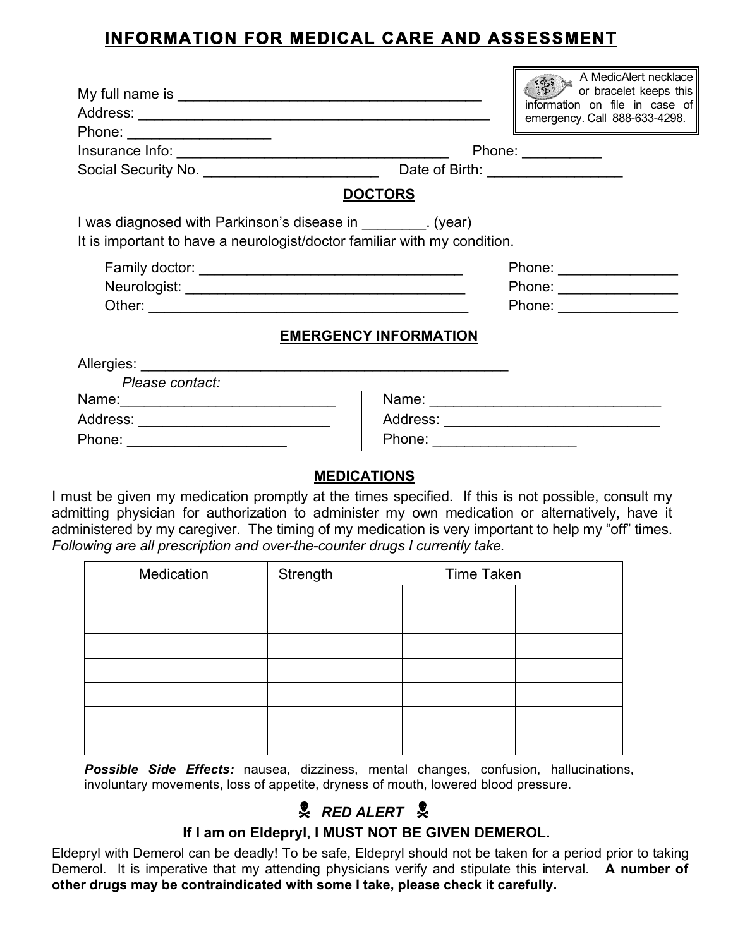## **INFORMATION FOR MEDICAL CARE AND ASSESSMENT**

F

| Phone: ______________________   | A MedicAlert necklace<br>or bracelet keeps this<br>information on file in case of<br>emergency. Call 888-633-4298.<br>Phone: $\frac{1}{\sqrt{1-\frac{1}{2}}\cdot\frac{1}{2}}$                                                                                                                    |  |  |  |  |  |
|---------------------------------|--------------------------------------------------------------------------------------------------------------------------------------------------------------------------------------------------------------------------------------------------------------------------------------------------|--|--|--|--|--|
|                                 |                                                                                                                                                                                                                                                                                                  |  |  |  |  |  |
|                                 |                                                                                                                                                                                                                                                                                                  |  |  |  |  |  |
|                                 |                                                                                                                                                                                                                                                                                                  |  |  |  |  |  |
|                                 | <b>DOCTORS</b><br>I was diagnosed with Parkinson's disease in _________. (year)<br>It is important to have a neurologist/doctor familiar with my condition.<br>Phone: _________________<br>Phone: _________________<br>Phone: _______________<br><b>EMERGENCY INFORMATION</b><br>Please contact: |  |  |  |  |  |
|                                 |                                                                                                                                                                                                                                                                                                  |  |  |  |  |  |
| Phone: ________________________ | Phone: ______________________                                                                                                                                                                                                                                                                    |  |  |  |  |  |

## **MEDICATIONS**

I must be given my medication promptly at the times specified. If this is not possible, consult my admitting physician for authorization to administer my own medication or alternatively, have it administered by my caregiver. The timing of my medication is very important to help my "off" times. *Following are all prescription and over-the-counter drugs I currently take.*

| Medication | Strength | <b>Time Taken</b> |  |  |  |  |
|------------|----------|-------------------|--|--|--|--|
|            |          |                   |  |  |  |  |
|            |          |                   |  |  |  |  |
|            |          |                   |  |  |  |  |
|            |          |                   |  |  |  |  |
|            |          |                   |  |  |  |  |
|            |          |                   |  |  |  |  |
|            |          |                   |  |  |  |  |

*Possible Side Effects:* nausea, dizziness, mental changes, confusion, hallucinations, involuntary movements, loss of appetite, dryness of mouth, lowered blood pressure.

## *RED ALERT*

## **If I am on Eldepryl, I MUST NOT BE GIVEN DEMEROL.**

Eldepryl with Demerol can be deadly! To be safe, Eldepryl should not be taken for a period prior to taking Demerol. It is imperative that my attending physicians verify and stipulate this interval. **A number of other drugs may be contraindicated with some I take, please check it carefully.**